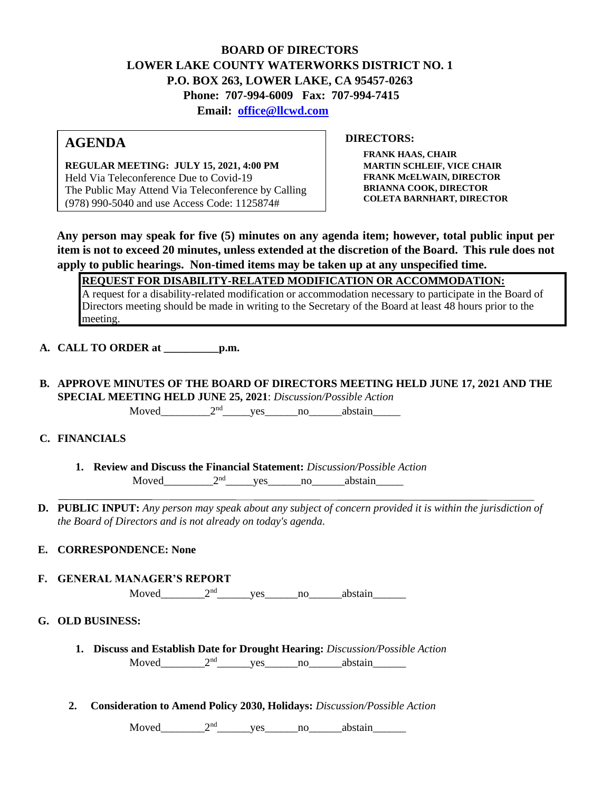## **BOARD OF DIRECTORS LOWER LAKE COUNTY WATERWORKS DISTRICT NO. 1 P.O. BOX 263, LOWER LAKE, CA 95457-0263 Phone: 707-994-6009 Fax: 707-994-7415 Email: office@llcwd.com**

# **AGENDA**

**REGULAR MEETING: JULY 15, 2021, 4:00 PM**  Held Via Teleconference Due to Covid-19 The Public May Attend Via Teleconference by Calling (978) 990-5040 and use Access Code: 1125874#

**DIRECTORS:** 

**FRANK HAAS, CHAIR MARTIN SCHLEIF, VICE CHAIR FRANK McELWAIN, DIRECTOR BRIANNA COOK, DIRECTOR COLETA BARNHART, DIRECTOR**

**Any person may speak for five (5) minutes on any agenda item; however, total public input per item is not to exceed 20 minutes, unless extended at the discretion of the Board. This rule does not apply to public hearings. Non-timed items may be taken up at any unspecified time.** 

**REQUEST FOR DISABILITY-RELATED MODIFICATION OR ACCOMMODATION:**

A request for a disability-related modification or accommodation necessary to participate in the Board of Directors meeting should be made in writing to the Secretary of the Board at least 48 hours prior to the meeting.

**A. CALL TO ORDER at \_\_\_\_\_\_\_\_\_\_p.m.** 

**B. APPROVE MINUTES OF THE BOARD OF DIRECTORS MEETING HELD JUNE 17, 2021 AND THE SPECIAL MEETING HELD JUNE 25, 2021**: *Discussion/Possible Action*

 $Moved$   $2<sup>nd</sup>$  yes no abstain

## **C. FINANCIALS**

- **1. Review and Discuss the Financial Statement:** *Discussion/Possible Action* Moved\_\_\_\_\_\_\_\_\_\_\_2<sup>nd</sup>\_\_\_\_\_\_yes\_\_\_\_\_\_\_no\_\_\_\_\_\_\_abstain\_\_\_\_\_\_\_
- **D. PUBLIC INPUT:** *Any person may speak about any subject of concern provided it is within the jurisdiction of the Board of Directors and is not already on today's agenda.*

## **E. CORRESPONDENCE: None**

**F. GENERAL MANAGER'S REPORT**

 $Moved$   $2<sup>nd</sup>$  yes no abstain

## **G. OLD BUSINESS:**

- **1. Discuss and Establish Date for Drought Hearing:** *Discussion/Possible Action* Moved  $2<sup>nd</sup>$  yes no abstain
- **2. Consideration to Amend Policy 2030, Holidays:** *Discussion/Possible Action*

 $Moved$   $2<sup>nd</sup>$  yes no abstain